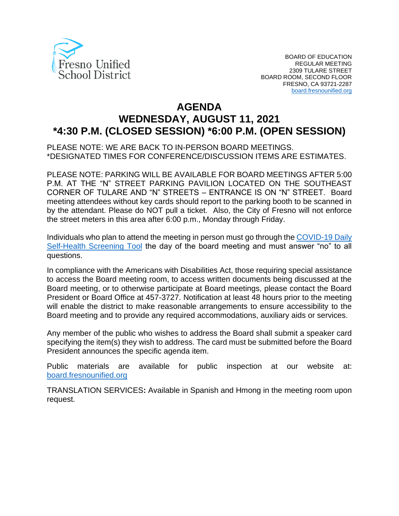

# **AGENDA WEDNESDAY, AUGUST 11, 2021 \*4:30 P.M. (CLOSED SESSION) \*6:00 P.M. (OPEN SESSION)**

PLEASE NOTE: WE ARE BACK TO IN-PERSON BOARD MEETINGS. \*DESIGNATED TIMES FOR CONFERENCE/DISCUSSION ITEMS ARE ESTIMATES.

PLEASE NOTE: PARKING WILL BE AVAILABLE FOR BOARD MEETINGS AFTER 5:00 P.M. AT THE "N" STREET PARKING PAVILION LOCATED ON THE SOUTHEAST CORNER OF TULARE AND "N" STREETS – ENTRANCE IS ON "N" STREET. Board meeting attendees without key cards should report to the parking booth to be scanned in by the attendant. Please do NOT pull a ticket. Also, the City of Fresno will not enforce the street meters in this area after 6:00 p.m., Monday through Friday.

Individuals who plan to attend the meeting in person must go through the COVID-19 Daily [Self-Health Screening Tool](https://health.fresnounified.org/wp-content/uploads/FUSD-Self-Health-Screening-Tool.pdf) the day of the board meeting and must answer "no" to all questions.

In compliance with the Americans with Disabilities Act, those requiring special assistance to access the Board meeting room, to access written documents being discussed at the Board meeting, or to otherwise participate at Board meetings, please contact the Board President or Board Office at 457-3727. Notification at least 48 hours prior to the meeting will enable the district to make reasonable arrangements to ensure accessibility to the Board meeting and to provide any required accommodations, auxiliary aids or services.

Any member of the public who wishes to address the Board shall submit a speaker card specifying the item(s) they wish to address. The card must be submitted before the Board President announces the specific agenda item.

Public materials are available for public inspection at our website at: [board.fresnounified.org](https://board.fresnounified.org/)

TRANSLATION SERVICES**:** Available in Spanish and Hmong in the meeting room upon request.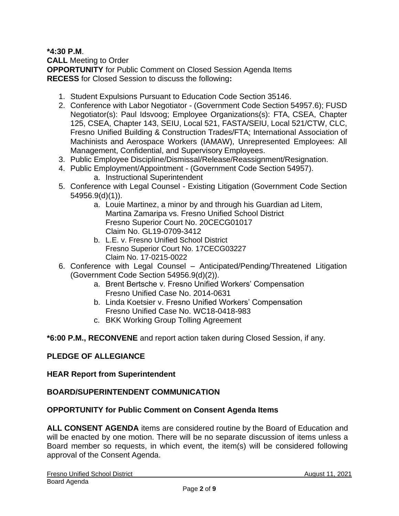**\*4:30 P.M**.

**CALL** Meeting to Order

**OPPORTUNITY** for Public Comment on Closed Session Agenda Items **RECESS** for Closed Session to discuss the following**:**

- 1. Student Expulsions Pursuant to Education Code Section 35146.
- 2. Conference with Labor Negotiator (Government Code Section 54957.6); FUSD Negotiator(s): Paul Idsvoog; Employee Organizations(s): FTA, CSEA, Chapter 125, CSEA, Chapter 143, SEIU, Local 521, FASTA/SEIU, Local 521/CTW, CLC, Fresno Unified Building & Construction Trades/FTA; International Association of Machinists and Aerospace Workers (IAMAW), Unrepresented Employees: All Management, Confidential, and Supervisory Employees.
- 3. Public Employee Discipline/Dismissal/Release/Reassignment/Resignation.
- 4. Public Employment/Appointment (Government Code Section 54957).
	- a. Instructional Superintendent
- 5. Conference with Legal Counsel Existing Litigation (Government Code Section 54956.9(d)(1)).
	- a. Louie Martinez, a minor by and through his Guardian ad Litem, Martina Zamaripa vs. Fresno Unified School District Fresno Superior Court No. 20CECG01017 Claim No. GL19-0709-3412
	- b. L.E. v. Fresno Unified School District Fresno Superior Court No. 17CECG03227 Claim No. 17-0215-0022
- 6. Conference with Legal Counsel Anticipated/Pending/Threatened Litigation (Government Code Section 54956.9(d)(2)).
	- a. Brent Bertsche v. Fresno Unified Workers' Compensation Fresno Unified Case No. 2014-0631
	- b. Linda Koetsier v. Fresno Unified Workers' Compensation Fresno Unified Case No. WC18-0418-983
	- c. BKK Working Group Tolling Agreement

**\*6:00 P.M., RECONVENE** and report action taken during Closed Session, if any.

## **PLEDGE OF ALLEGIANCE**

## **HEAR Report from Superintendent**

## **BOARD/SUPERINTENDENT COMMUNICATION**

## **OPPORTUNITY for Public Comment on Consent Agenda Items**

**ALL CONSENT AGENDA** items are considered routine by the Board of Education and will be enacted by one motion. There will be no separate discussion of items unless a Board member so requests, in which event, the item(s) will be considered following approval of the Consent Agenda.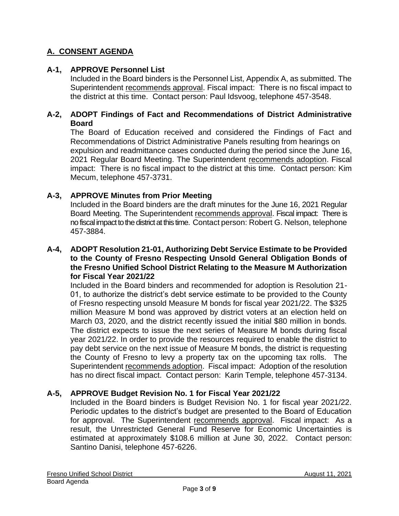# **A. CONSENT AGENDA**

## **A-1, APPROVE Personnel List**

Included in the Board binders is the Personnel List, Appendix A, as submitted. The Superintendent recommends approval. Fiscal impact: There is no fiscal impact to the district at this time. Contact person: Paul Idsvoog, telephone 457-3548.

#### **A-2, ADOPT Findings of Fact and Recommendations of District Administrative Board**

The Board of Education received and considered the Findings of Fact and Recommendations of District Administrative Panels resulting from hearings on expulsion and readmittance cases conducted during the period since the June 16, 2021 Regular Board Meeting. The Superintendent recommends adoption. Fiscal impact: There is no fiscal impact to the district at this time. Contact person: Kim Mecum, telephone 457-3731.

## **A-3, APPROVE Minutes from Prior Meeting**

Included in the Board binders are the draft minutes for the June 16, 2021 Regular Board Meeting. The Superintendent recommends approval. Fiscal impact: There is no fiscal impact to the district at this time. Contact person: Robert G. Nelson, telephone 457-3884.

#### **A-4, ADOPT Resolution 21-01, Authorizing Debt Service Estimate to be Provided to the County of Fresno Respecting Unsold General Obligation Bonds of the Fresno Unified School District Relating to the Measure M Authorization for Fiscal Year 2021/22**

Included in the Board binders and recommended for adoption is Resolution 21- 01, to authorize the district's debt service estimate to be provided to the County of Fresno respecting unsold Measure M bonds for fiscal year 2021/22. The \$325 million Measure M bond was approved by district voters at an election held on March 03, 2020, and the district recently issued the initial \$80 million in bonds. The district expects to issue the next series of Measure M bonds during fiscal year 2021/22. In order to provide the resources required to enable the district to pay debt service on the next issue of Measure M bonds, the district is requesting the County of Fresno to levy a property tax on the upcoming tax rolls. The Superintendent recommends adoption. Fiscal impact: Adoption of the resolution has no direct fiscal impact. Contact person: Karin Temple, telephone 457-3134.

## **A-5, APPROVE Budget Revision No. 1 for Fiscal Year 2021/22**

Included in the Board binders is Budget Revision No. 1 for fiscal year 2021/22. Periodic updates to the district's budget are presented to the Board of Education for approval. The Superintendent recommends approval. Fiscal impact: As a result, the Unrestricted General Fund Reserve for Economic Uncertainties is estimated at approximately \$108.6 million at June 30, 2022. Contact person: Santino Danisi, telephone 457-6226.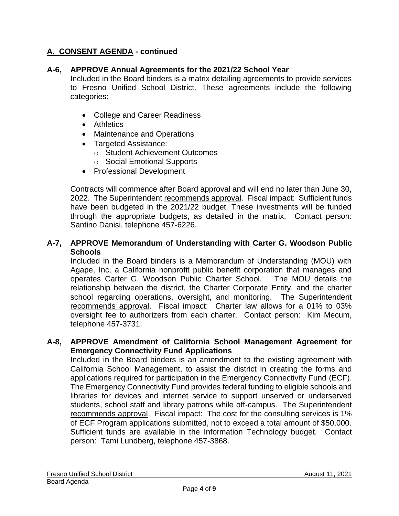#### **A-6, APPROVE Annual Agreements for the 2021/22 School Year**

Included in the Board binders is a matrix detailing agreements to provide services to Fresno Unified School District. These agreements include the following categories:

- College and Career Readiness
- Athletics
- Maintenance and Operations
- Targeted Assistance:
	- o Student Achievement Outcomes
	- o Social Emotional Supports
- Professional Development

Contracts will commence after Board approval and will end no later than June 30, 2022. The Superintendent recommends approval. Fiscal impact: Sufficient funds have been budgeted in the 2021/22 budget. These investments will be funded through the appropriate budgets, as detailed in the matrix. Contact person: Santino Danisi, telephone 457-6226.

#### **A-7, APPROVE Memorandum of Understanding with Carter G. Woodson Public Schools**

Included in the Board binders is a Memorandum of Understanding (MOU) with Agape, Inc, a California nonprofit public benefit corporation that manages and operates Carter G. Woodson Public Charter School. The MOU details the relationship between the district, the Charter Corporate Entity, and the charter school regarding operations, oversight, and monitoring. The Superintendent recommends approval. Fiscal impact: Charter law allows for a 01% to 03% oversight fee to authorizers from each charter. Contact person: Kim Mecum, telephone 457-3731.

#### **A-8, APPROVE Amendment of California School Management Agreement for Emergency Connectivity Fund Applications**

Included in the Board binders is an amendment to the existing agreement with California School Management, to assist the district in creating the forms and applications required for participation in the Emergency Connectivity Fund (ECF). The Emergency Connectivity Fund provides federal funding to eligible schools and libraries for devices and internet service to support unserved or underserved students, school staff and library patrons while off-campus. The Superintendent recommends approval. Fiscal impact: The cost for the consulting services is 1% of ECF Program applications submitted, not to exceed a total amount of \$50,000. Sufficient funds are available in the Information Technology budget. Contact person: Tami Lundberg, telephone 457-3868.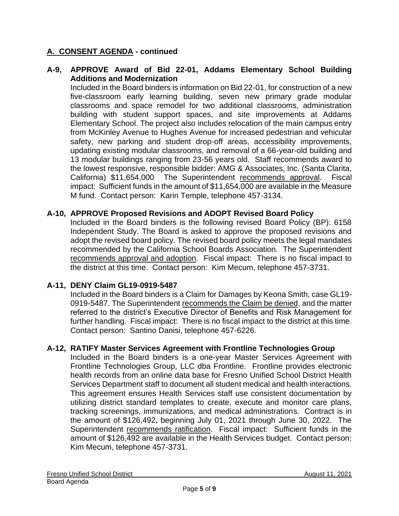#### **A-9, APPROVE Award of Bid 22-01, Addams Elementary School Building Additions and Modernization**

Included in the Board binders is information on Bid 22-01, for construction of a new five-classroom early learning building, seven new primary grade modular classrooms and space remodel for two additional classrooms, administration building with student support spaces, and site improvements at Addams Elementary School. The project also includes relocation of the main campus entry from McKinley Avenue to Hughes Avenue for increased pedestrian and vehicular safety, new parking and student drop-off areas, accessibility improvements, updating existing modular classrooms, and removal of a 66-year-old building and 13 modular buildings ranging from 23-56 years old. Staff recommends award to the lowest responsive, responsible bidder: AMG & Associates, Inc. (Santa Clarita, California) \$11,654,000 The Superintendent recommends approval. Fiscal impact: Sufficient funds in the amount of \$11,654,000 are available in the Measure M fund. Contact person: Karin Temple, telephone 457-3134.

#### **A-10, APPROVE Proposed Revisions and ADOPT Revised Board Policy**

Included in the Board binders is the following revised Board Policy (BP): 6158 Independent Study. The Board is asked to approve the proposed revisions and adopt the revised board policy. The revised board policy meets the legal mandates recommended by the California School Boards Association. The Superintendent recommends approval and adoption. Fiscal impact: There is no fiscal impact to the district at this time. Contact person: Kim Mecum, telephone 457-3731.

## **A-11, DENY Claim GL19-0919-5487**

Included in the Board binders is a Claim for Damages by Keona Smith, case GL19- 0919-5487. The Superintendent recommends the Claim be denied, and the matter referred to the district's Executive Director of Benefits and Risk Management for further handling. Fiscal impact: There is no fiscal impact to the district at this time. Contact person: Santino Danisi, telephone 457-6226.

#### **A-12, RATIFY Master Services Agreement with Frontline Technologies Group**

Included in the Board binders is a one-year Master Services Agreement with Frontline Technologies Group, LLC dba Frontline. Frontline provides electronic health records from an online data base for Fresno Unified School District Health Services Department staff to document all student medical and health interactions. This agreement ensures Health Services staff use consistent documentation by utilizing district standard templates to create, execute and monitor care plans, tracking screenings, immunizations, and medical administrations. Contract is in the amount of \$126,492, beginning July 01, 2021 through June 30, 2022. The Superintendent recommends ratification. Fiscal impact: Sufficient funds in the amount of \$126,492 are available in the Health Services budget. Contact person: Kim Mecum, telephone 457-3731.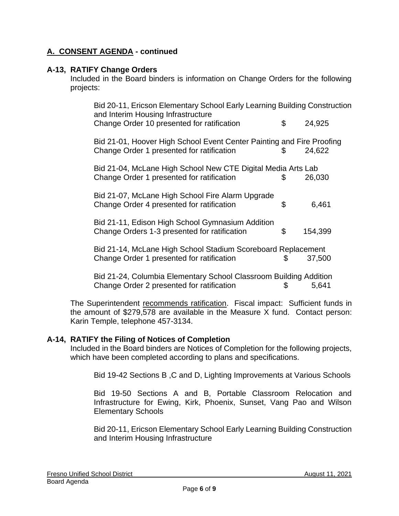#### **A-13, RATIFY Change Orders**

Included in the Board binders is information on Change Orders for the following projects:

| Bid 20-11, Ericson Elementary School Early Learning Building Construction<br>and Interim Housing Infrastructure    |    |         |
|--------------------------------------------------------------------------------------------------------------------|----|---------|
| Change Order 10 presented for ratification                                                                         | \$ | 24,925  |
| Bid 21-01, Hoover High School Event Center Painting and Fire Proofing<br>Change Order 1 presented for ratification | \$ | 24,622  |
| Bid 21-04, McLane High School New CTE Digital Media Arts Lab                                                       |    |         |
| Change Order 1 presented for ratification                                                                          | S  | 26,030  |
| Bid 21-07, McLane High School Fire Alarm Upgrade                                                                   |    |         |
| Change Order 4 presented for ratification                                                                          | \$ | 6,461   |
| Bid 21-11, Edison High School Gymnasium Addition                                                                   |    |         |
| Change Orders 1-3 presented for ratification                                                                       | \$ | 154,399 |
| Bid 21-14, McLane High School Stadium Scoreboard Replacement                                                       |    |         |
| Change Order 1 presented for ratification                                                                          | S  | 37,500  |
| Bid 21-24, Columbia Elementary School Classroom Building Addition                                                  |    |         |
| Change Order 2 presented for ratification                                                                          | \$ | 5,641   |

The Superintendent recommends ratification. Fiscal impact: Sufficient funds in the amount of \$279,578 are available in the Measure X fund. Contact person: Karin Temple, telephone 457-3134.

#### **A-14, RATIFY the Filing of Notices of Completion**

Included in the Board binders are Notices of Completion for the following projects, which have been completed according to plans and specifications.

Bid 19-42 Sections B ,C and D, Lighting Improvements at Various Schools

Bid 19-50 Sections A and B, Portable Classroom Relocation and Infrastructure for Ewing, Kirk, Phoenix, Sunset, Vang Pao and Wilson Elementary Schools

Bid 20-11, Ericson Elementary School Early Learning Building Construction and Interim Housing Infrastructure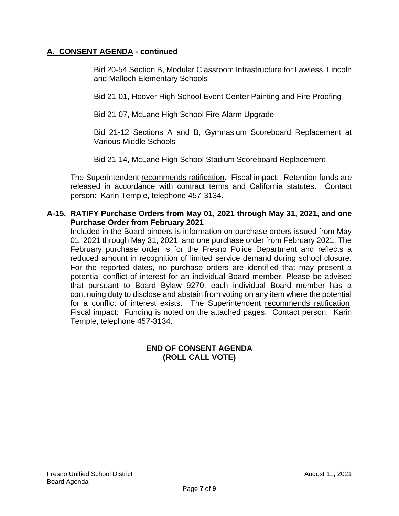Bid 20-54 Section B, Modular Classroom Infrastructure for Lawless, Lincoln and Malloch Elementary Schools

Bid 21-01, Hoover High School Event Center Painting and Fire Proofing

Bid 21-07, McLane High School Fire Alarm Upgrade

Bid 21-12 Sections A and B, Gymnasium Scoreboard Replacement at Various Middle Schools

Bid 21-14, McLane High School Stadium Scoreboard Replacement

The Superintendent recommends ratification. Fiscal impact: Retention funds are released in accordance with contract terms and California statutes. Contact person: Karin Temple, telephone 457-3134.

#### **A-15, RATIFY Purchase Orders from May 01, 2021 through May 31, 2021, and one Purchase Order from February 2021**

Included in the Board binders is information on purchase orders issued from May 01, 2021 through May 31, 2021, and one purchase order from February 2021. The February purchase order is for the Fresno Police Department and reflects a reduced amount in recognition of limited service demand during school closure. For the reported dates, no purchase orders are identified that may present a potential conflict of interest for an individual Board member. Please be advised that pursuant to Board Bylaw 9270, each individual Board member has a continuing duty to disclose and abstain from voting on any item where the potential for a conflict of interest exists. The Superintendent recommends ratification. Fiscal impact: Funding is noted on the attached pages. Contact person: Karin Temple, telephone 457-3134.

## **END OF CONSENT AGENDA (ROLL CALL VOTE)**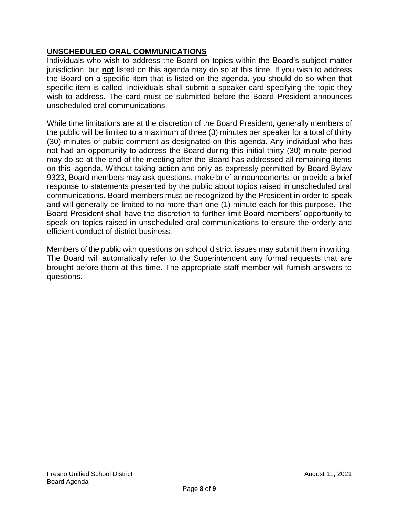# **UNSCHEDULED ORAL COMMUNICATIONS**

Individuals who wish to address the Board on topics within the Board's subject matter jurisdiction, but **not** listed on this agenda may do so at this time. If you wish to address the Board on a specific item that is listed on the agenda, you should do so when that specific item is called. Individuals shall submit a speaker card specifying the topic they wish to address. The card must be submitted before the Board President announces unscheduled oral communications.

While time limitations are at the discretion of the Board President, generally members of the public will be limited to a maximum of three (3) minutes per speaker for a total of thirty (30) minutes of public comment as designated on this agenda. Any individual who has not had an opportunity to address the Board during this initial thirty (30) minute period may do so at the end of the meeting after the Board has addressed all remaining items on this agenda. Without taking action and only as expressly permitted by Board Bylaw 9323, Board members may ask questions, make brief announcements, or provide a brief response to statements presented by the public about topics raised in unscheduled oral communications. Board members must be recognized by the President in order to speak and will generally be limited to no more than one (1) minute each for this purpose. The Board President shall have the discretion to further limit Board members' opportunity to speak on topics raised in unscheduled oral communications to ensure the orderly and efficient conduct of district business.

Members of the public with questions on school district issues may submit them in writing. The Board will automatically refer to the Superintendent any formal requests that are brought before them at this time. The appropriate staff member will furnish answers to questions.